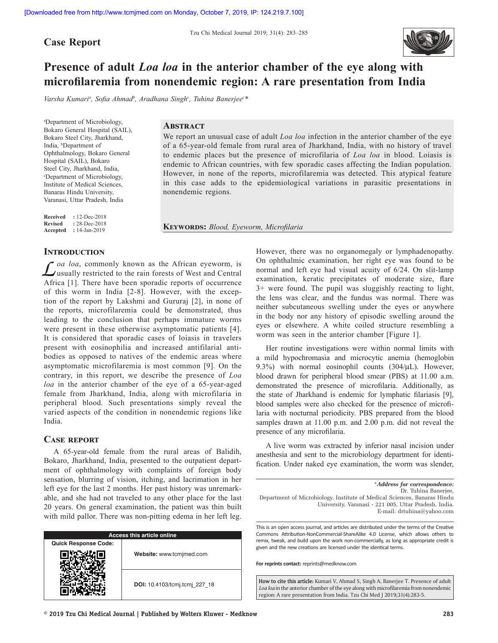**Case Report**



# **Presence of adult** *Loa loa* **in the anterior chamber of the eye along with microfilaremia from nonendemic region: A rare presentation from India**

Varsha Kumari<sup>a</sup>, Sofia Ahmad<sup>b</sup>, Aradhana Singh<sup>c</sup>, Tuhina Banerjee<sup>c\*</sup>

a Department of Microbiology, Bokaro General Hospital (SAIL), Bokaro Steel City, Jharkhand, India, <sup>b</sup>Department of Ophthalmology, Bokaro General Hospital (SAIL), Bokaro Steel City, Jharkhand, India, c Department of Microbiology, Institute of Medical Sciences, Banaras Hindu University, Varanasi, Uttar Pradesh, India

**Received :** 12-Dec-2018 **Revised :** 28-Dec-2018 **Accepted :** 14-Jan-2019

## **Abstract**

We report an unusual case of adult *Loa loa* infection in the anterior chamber of the eye of a 65-year-old female from rural area of Jharkhand, India, with no history of travel to endemic places but the presence of microfilaria of *Loa loa* in blood. Loiasis is endemic to African countries, with few sporadic cases affecting the Indian population. However, in none of the reports, microfilaremia was detected. This atypical feature in this case adds to the epidemiological variations in parasitic presentations in nonendemic regions.

**Keywords:** *Blood, Eyeworm, Microfilaria*

#### **Introduction**

*L*<sub>oa</sub> loa, commonly known as the African eyeworm, is usually restricted to the rain forests of West and Central Africa [1]. There have been sporadic reports of occurrence of this worm in India [2-8]. However, with the exception of the report by Lakshmi and Gururaj [2], in none of the reports, microfilaremia could be demonstrated, thus leading to the conclusion that perhaps immature worms were present in these otherwise asymptomatic patients [4]. It is considered that sporadic cases of loiasis in travelers present with eosinophilia and increased antifilarial antibodies as opposed to natives of the endemic areas where asymptomatic microfilaremia is most common [9]. On the contrary, in this report, we describe the presence of *Loa loa* in the anterior chamber of the eye of a 65-year-aged female from Jharkhand, India, along with microfilaria in peripheral blood. Such presentations simply reveal the varied aspects of the condition in nonendemic regions like India.

## **Case report**

A 65-year-old female from the rural areas of Balidih, Bokaro, Jharkhand, India, presented to the outpatient department of ophthalmology with complaints of foreign body sensation, blurring of vision, itching, and lacrimation in her left eye for the last 2 months. Her past history was unremarkable, and she had not traveled to any other place for the last 20 years. On general examination, the patient was thin built with mild pallor. There was non-pitting edema in her left leg.

| <b>Access this article online</b> |                               |  |  |  |  |  |
|-----------------------------------|-------------------------------|--|--|--|--|--|
| <b>Quick Response Code:</b>       |                               |  |  |  |  |  |
|                                   | Website: www.tcmjmed.com      |  |  |  |  |  |
|                                   | DOI: 10.4103/tcmj.tcmj 227 18 |  |  |  |  |  |

However, there was no organomegaly or lymphadenopathy. On ophthalmic examination, her right eye was found to be normal and left eye had visual acuity of 6/24. On slit-lamp examination, keratic precipitates of moderate size, flare 3+ were found. The pupil was sluggishly reacting to light, the lens was clear, and the fundus was normal. There was neither subcutaneous swelling under the eyes or anywhere in the body nor any history of episodic swelling around the eyes or elsewhere. A white coiled structure resembling a worm was seen in the anterior chamber [Figure 1].

Her routine investigations were within normal limits with a mild hypochromasia and microcytic anemia (hemoglobin 9.3%) with normal eosinophil counts  $(304/\mu L)$ . However, blood drawn for peripheral blood smear (PBS) at 11.00 a.m. demonstrated the presence of microfilaria. Additionally, as the state of Jharkhand is endemic for lymphatic filariasis [9], blood samples were also checked for the presence of microfilaria with nocturnal periodicity. PBS prepared from the blood samples drawn at 11.00 p.m. and 2.00 p.m. did not reveal the presence of any microfilaria.

A live worm was extracted by inferior nasal incision under anesthesia and sent to the microbiology department for identification. Under naked eye examination, the worm was slender,

\**Address for correspondence:* Dr. Tuhina Banerjee, Department of Microbiology, Institute of Medical Sciences, Banaras Hindu University, Varanasi ‑ 221 005, Uttar Pradesh, India. E‑mail: drtuhina@yahoo.com

This is an open access journal, and articles are distributed under the terms of the Creative Commons Attribution‑NonCommercial‑ShareAlike 4.0 License, which allows others to remix, tweak, and build upon the work non‑commercially, as long as appropriate credit is given and the new creations are licensed under the identical terms.

**For reprints contact:** reprints@medknow.com

**How to cite this article:** Kumari V, Ahmad S, Singh A, Banerjee T. Presence of adult *Loa loa* in the anterior chamber of the eye along with microfilaremia from nonendemic region: A rare presentation from India. Tzu Chi Med J 2019;31(4):283-5.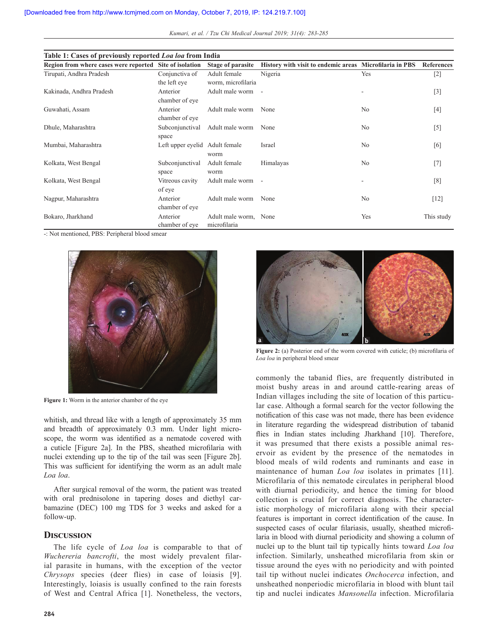| Kumari, et al. / Tzu Chi Medical Journal 2019; 31(4): 283-285 |  |  |  |  |  |  |
|---------------------------------------------------------------|--|--|--|--|--|--|
|---------------------------------------------------------------|--|--|--|--|--|--|

| Table 1: Cases of previously reported Loa loa from India |                                |                       |                                                         |                |                   |  |  |  |  |
|----------------------------------------------------------|--------------------------------|-----------------------|---------------------------------------------------------|----------------|-------------------|--|--|--|--|
| Region from where cases were reported Site of isolation  |                                | Stage of parasite     | History with visit to endemic areas Microfilaria in PBS |                | <b>References</b> |  |  |  |  |
| Tirupati, Andhra Pradesh                                 | Conjunctiva of                 | Adult female          | Nigeria                                                 | Yes            | $[2]$             |  |  |  |  |
|                                                          | the left eye                   | worm, microfilaria    |                                                         |                |                   |  |  |  |  |
| Kakinada, Andhra Pradesh                                 | Anterior                       | Adult male worm -     |                                                         |                | $[3]$             |  |  |  |  |
|                                                          | chamber of eye                 |                       |                                                         |                |                   |  |  |  |  |
| Guwahati, Assam                                          | Anterior                       | Adult male worm       | None                                                    | No             | $[4]$             |  |  |  |  |
|                                                          | chamber of eye                 |                       |                                                         |                |                   |  |  |  |  |
| Dhule, Maharashtra                                       | Subconjunctival                | Adult male worm       | None                                                    | No             | $[5]$             |  |  |  |  |
|                                                          | space                          |                       |                                                         |                |                   |  |  |  |  |
| Mumbai, Maharashtra                                      | Left upper eyelid Adult female |                       | Israel                                                  | N <sub>0</sub> | [6]               |  |  |  |  |
|                                                          |                                | worm                  |                                                         |                |                   |  |  |  |  |
| Kolkata, West Bengal                                     | Subconjunctival                | Adult female          | Himalayas                                               | N <sub>0</sub> | $[7]$             |  |  |  |  |
|                                                          | space                          | worm                  |                                                         |                |                   |  |  |  |  |
| Kolkata, West Bengal                                     | Vitreous cavity                | Adult male worm -     |                                                         |                | [8]               |  |  |  |  |
|                                                          | of eye                         |                       |                                                         |                |                   |  |  |  |  |
| Nagpur, Maharashtra                                      | Anterior                       | Adult male worm       | None                                                    | No             | $[12]$            |  |  |  |  |
|                                                          | chamber of eye                 |                       |                                                         |                |                   |  |  |  |  |
| Bokaro, Jharkhand                                        | Anterior                       | Adult male worm, None |                                                         | Yes            | This study        |  |  |  |  |
|                                                          | chamber of eye                 | microfilaria          |                                                         |                |                   |  |  |  |  |

-: Not mentioned, PBS: Peripheral blood smear



**Figure 1:** Worm in the anterior chamber of the eye

whitish, and thread like with a length of approximately 35 mm and breadth of approximately 0.3 mm. Under light microscope, the worm was identified as a nematode covered with a cuticle [Figure 2a]. In the PBS, sheathed microfilaria with nuclei extending up to the tip of the tail was seen [Figure 2b]. This was sufficient for identifying the worm as an adult male *Loa loa*.

After surgical removal of the worm, the patient was treated with oral prednisolone in tapering doses and diethyl carbamazine (DEC) 100 mg TDS for 3 weeks and asked for a follow-up.

### **Discussion**

The life cycle of *Loa loa* is comparable to that of *Wuchereria bancrofti*, the most widely prevalent filarial parasite in humans, with the exception of the vector *Chrysops* species (deer flies) in case of loiasis [9]. Interestingly, loiasis is usually confined to the rain forests of West and Central Africa [1]. Nonetheless, the vectors,



**Figure 2:** (a) Posterior end of the worm covered with cuticle; (b) microfilaria of *Loa loa* in peripheral blood smear

commonly the tabanid flies, are frequently distributed in moist bushy areas in and around cattle-rearing areas of Indian villages including the site of location of this particular case. Although a formal search for the vector following the notification of this case was not made, there has been evidence in literature regarding the widespread distribution of tabanid flies in Indian states including Jharkhand [10]. Therefore, it was presumed that there exists a possible animal reservoir as evident by the presence of the nematodes in blood meals of wild rodents and ruminants and ease in maintenance of human *Loa loa* isolates in primates [11]. Microfilaria of this nematode circulates in peripheral blood with diurnal periodicity, and hence the timing for blood collection is crucial for correct diagnosis. The characteristic morphology of microfilaria along with their special features is important in correct identification of the cause. In suspected cases of ocular filariasis, usually, sheathed microfilaria in blood with diurnal periodicity and showing a column of nuclei up to the blunt tail tip typically hints toward *Loa loa* infection. Similarly, unsheathed microfilaria from skin or tissue around the eyes with no periodicity and with pointed tail tip without nuclei indicates *Onchocerca* infection, and unsheathed nonperiodic microfilaria in blood with blunt tail tip and nuclei indicates *Mansonella* infection. Microfilaria